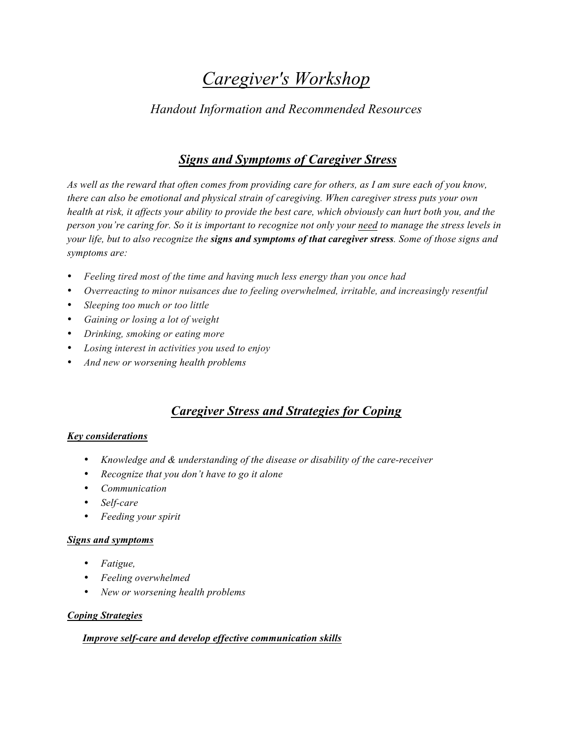# *Caregiver's Workshop*

### *Handout Information and Recommended Resources*

### *Signs and Symptoms of Caregiver Stress*

*As well as the reward that often comes from providing care for others, as I am sure each of you know, there can also be emotional and physical strain of caregiving. When caregiver stress puts your own health at risk, it affects your ability to provide the best care, which obviously can hurt both you, and the person you're caring for. So it is important to recognize not only your need to manage the stress levels in your life, but to also recognize the signs and symptoms of that caregiver stress. Some of those signs and symptoms are:*

- *Feeling tired most of the time and having much less energy than you once had*
- *Overreacting to minor nuisances due to feeling overwhelmed, irritable, and increasingly resentful*
- *Sleeping too much or too little*
- *Gaining or losing a lot of weight*
- *Drinking, smoking or eating more*
- *Losing interest in activities you used to enjoy*
- *And new or worsening health problems*

## *Caregiver Stress and Strategies for Coping*

#### *Key considerations*

- *Knowledge and & understanding of the disease or disability of the care-receiver*
- *Recognize that you don't have to go it alone*
- *Communication*
- *Self-care*
- *Feeding your spirit*

#### *Signs and symptoms*

- *Fatigue,*
- *Feeling overwhelmed*
- *New or worsening health problems*

#### *Coping Strategies*

#### *Improve self-care and develop effective communication skills*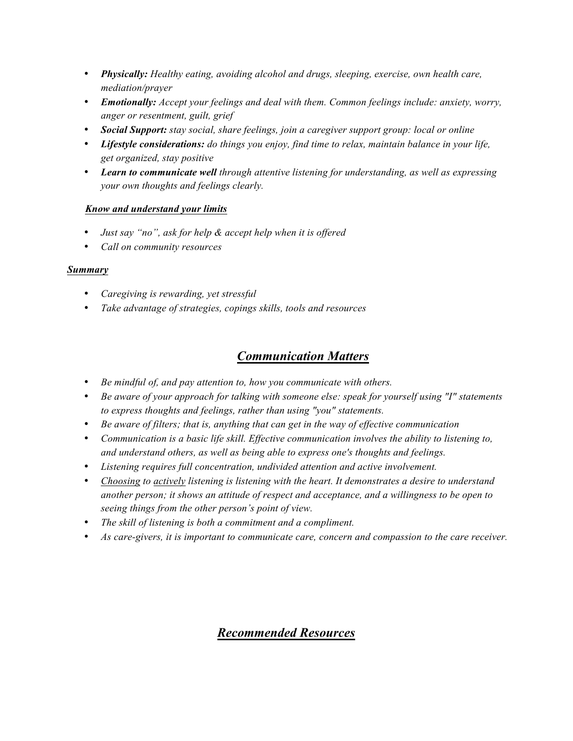- *Physically: Healthy eating, avoiding alcohol and drugs, sleeping, exercise, own health care, mediation/prayer*
- *Emotionally: Accept your feelings and deal with them. Common feelings include: anxiety, worry, anger or resentment, guilt, grief*
- *Social Support: stay social, share feelings, join a caregiver support group: local or online*
- *Lifestyle considerations: do things you enjoy, find time to relax, maintain balance in your life, get organized, stay positive*
- *Learn to communicate well through attentive listening for understanding, as well as expressing your own thoughts and feelings clearly.*

#### *Know and understand your limits*

- *Just say "no", ask for help & accept help when it is offered*
- *Call on community resources*

#### *Summary*

- *Caregiving is rewarding, yet stressful*
- *Take advantage of strategies, copings skills, tools and resources*

### *Communication Matters*

- *Be mindful of, and pay attention to, how you communicate with others.*
- *Be aware of your approach for talking with someone else: speak for yourself using "I" statements to express thoughts and feelings, rather than using "you" statements.*
- *Be aware of filters; that is, anything that can get in the way of effective communication*
- *Communication is a basic life skill. Effective communication involves the ability to listening to, and understand others, as well as being able to express one's thoughts and feelings.*
- *Listening requires full concentration, undivided attention and active involvement.*
- *Choosing to actively listening is listening with the heart. It demonstrates a desire to understand another person; it shows an attitude of respect and acceptance, and a willingness to be open to seeing things from the other person's point of view.*
- *The skill of listening is both a commitment and a compliment.*
- *As care-givers, it is important to communicate care, concern and compassion to the care receiver.*

### *Recommended Resources*